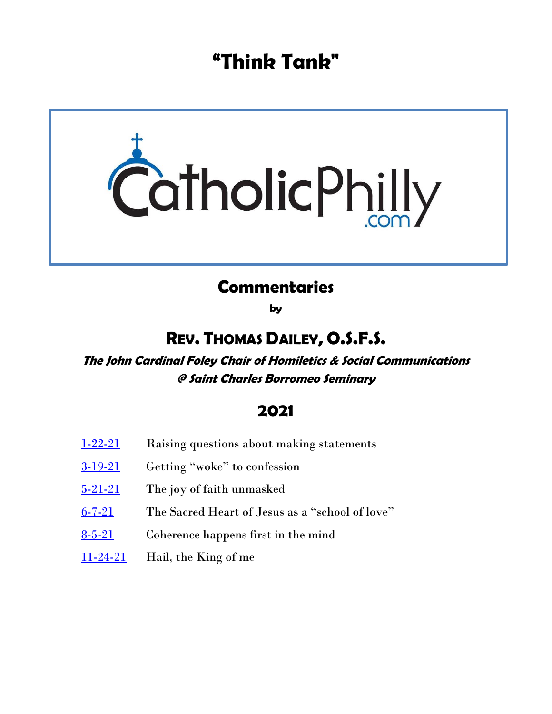# **"Think Tank"**



## **Commentaries**

**by**

## **REV. THOMAS DAILEY, O.S.F.S.**

**The John Cardinal Foley Chair of Homiletics & Social Communications @ Saint Charles Borromeo Seminary**

## **2021**

- [1-22-21](#page-1-0) Raising questions about making statements
- [3-19-21](#page-3-0) Getting "woke" to confession
- [5-21-21](#page-5-0) The joy of faith unmasked
- [6-7-21](#page-7-0) The Sacred Heart of Jesus as a "school of love"
- [8-5-21](#page-9-0) Coherence happens first in the mind
- $11-24-21$  Hail, the King of me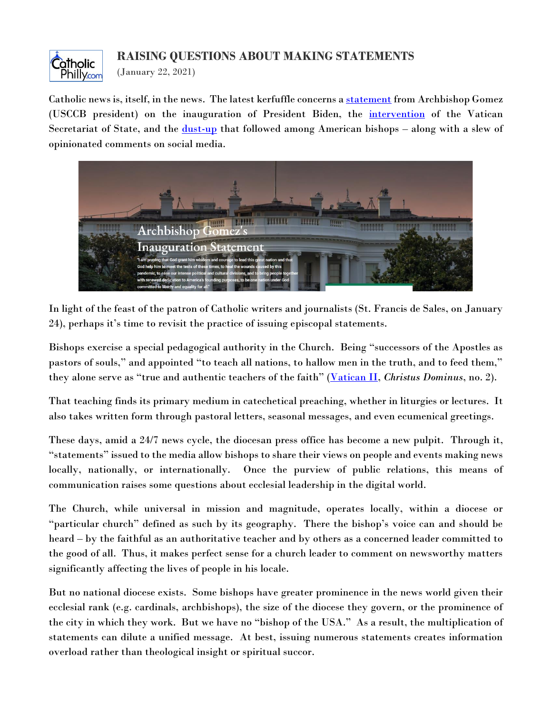

#### **RAISING QUESTIONS ABOUT MAKING STATEMENTS**

<span id="page-1-0"></span>(January 22, 2021)

Catholic news is, itself, in the news. The latest kerfuffle concerns a [statement](https://www.usccb.org/news/2021/usccb-presidents-statement-inauguration-joseph-r-biden-jr-46th-president-united-states) from Archbishop Gomez (USCCB president) on the inauguration of President Biden, the [intervention](https://www.pillarcatholic.com/p/breaking-vatican-intervenes-to-spike) of the Vatican Secretariat of State, and the *dust-up* that followed among American bishops – along with a slew of opinionated comments on social media.



In light of the feast of the patron of Catholic writers and journalists (St. Francis de Sales, on January 24), perhaps it's time to revisit the practice of issuing episcopal statements.

Bishops exercise a special pedagogical authority in the Church. Being "successors of the Apostles as pastors of souls," and appointed "to teach all nations, to hallow men in the truth, and to feed them," they alone serve as "true and authentic teachers of the faith" ([Vatican II,](http://www.vatican.va/archive/hist_councils/ii_vatican_council/documents/vat-ii_decree_19651028_christus-dominus_en.html) *Christus Dominus*, no. 2).

That teaching finds its primary medium in catechetical preaching, whether in liturgies or lectures. It also takes written form through pastoral letters, seasonal messages, and even ecumenical greetings.

These days, amid a 24/7 news cycle, the diocesan press office has become a new pulpit. Through it, "statements" issued to the media allow bishops to share their views on people and events making news locally, nationally, or internationally. Once the purview of public relations, this means of communication raises some questions about ecclesial leadership in the digital world.

The Church, while universal in mission and magnitude, operates locally, within a diocese or "particular church" defined as such by its geography. There the bishop's voice can and should be heard – by the faithful as an authoritative teacher and by others as a concerned leader committed to the good of all. Thus, it makes perfect sense for a church leader to comment on newsworthy matters significantly affecting the lives of people in his locale.

But no national diocese exists. Some bishops have greater prominence in the news world given their ecclesial rank (e.g. cardinals, archbishops), the size of the diocese they govern, or the prominence of the city in which they work. But we have no "bishop of the USA." As a result, the multiplication of statements can dilute a unified message. At best, issuing numerous statements creates information overload rather than theological insight or spiritual succor.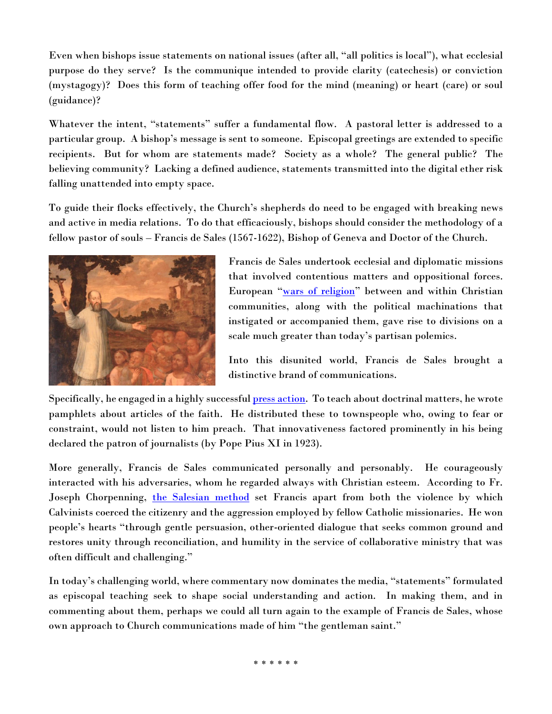Even when bishops issue statements on national issues (after all, "all politics is local"), what ecclesial purpose do they serve? Is the communique intended to provide clarity (catechesis) or conviction (mystagogy)? Does this form of teaching offer food for the mind (meaning) or heart (care) or soul (guidance)?

Whatever the intent, "statements" suffer a fundamental flow. A pastoral letter is addressed to a particular group. A bishop's message is sent to someone. Episcopal greetings are extended to specific recipients. But for whom are statements made? Society as a whole? The general public? The believing community? Lacking a defined audience, statements transmitted into the digital ether risk falling unattended into empty space.

To guide their flocks effectively, the Church's shepherds do need to be engaged with breaking news and active in media relations. To do that efficaciously, bishops should consider the methodology of a fellow pastor of souls – Francis de Sales (1567-1622), Bishop of Geneva and Doctor of the Church.



Francis de Sales undertook ecclesial and diplomatic missions that involved contentious matters and oppositional forces. European "[wars of religion](https://en.wikipedia.org/wiki/European_wars_of_religion)" between and within Christian communities, along with the political machinations that instigated or accompanied them, gave rise to divisions on a scale much greater than today's partisan polemics.

Into this disunited world, Francis de Sales brought a distinctive brand of communications.

Specifically, he engaged in a highly successful **press action**. To teach about doctrinal matters, he wrote pamphlets about articles of the faith. He distributed these to townspeople who, owing to fear or constraint, would not listen to him preach. That innovativeness factored prominently in his being declared the patron of journalists (by Pope Pius XI in 1923).

More generally, Francis de Sales communicated personally and personably. He courageously interacted with his adversaries, whom he regarded always with Christian esteem. According to Fr. Joseph Chorpenning, [the Salesian method](http://www.franz-von-sales.de/icss_de/rundbriefe/english/news18.html) set Francis apart from both the violence by which Calvinists coerced the citizenry and the aggression employed by fellow Catholic missionaries. He won people's hearts "through gentle persuasion, other-oriented dialogue that seeks common ground and restores unity through reconciliation, and humility in the service of collaborative ministry that was often difficult and challenging."

In today's challenging world, where commentary now dominates the media, "statements" formulated as episcopal teaching seek to shape social understanding and action. In making them, and in commenting about them, perhaps we could all turn again to the example of Francis de Sales, whose own approach to Church communications made of him "the gentleman saint."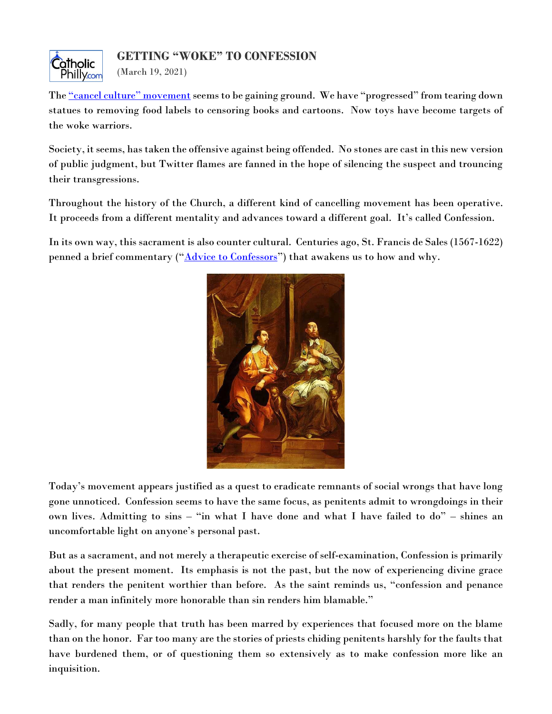

<span id="page-3-0"></span>The ["cancel culture" movement](https://nypost.com/article/what-is-cancel-culture-breaking-down-the-toxic-online-trend/) seems to be gaining ground. We have "progressed" from tearing down statues to removing food labels to censoring books and cartoons. Now toys have become targets of the woke warriors.

Society, it seems, has taken the offensive against being offended. No stones are cast in this new version of public judgment, but Twitter flames are fanned in the hope of silencing the suspect and trouncing their transgressions.

Throughout the history of the Church, a different kind of cancelling movement has been operative. It proceeds from a different mentality and advances toward a different goal. It's called Confession.

In its own way, this sacrament is also counter cultural. Centuries ago, St. Francis de Sales (1567-1622) penned a brief commentary ("**[Advice to Confessors](http://hosted.desales.edu/files/salesian/library/AdvicetoConfessorsnew.pdf)**") that awakens us to how and why.



Today's movement appears justified as a quest to eradicate remnants of social wrongs that have long gone unnoticed. Confession seems to have the same focus, as penitents admit to wrongdoings in their own lives. Admitting to sins – "in what I have done and what I have failed to do" – shines an uncomfortable light on anyone's personal past.

But as a sacrament, and not merely a therapeutic exercise of self-examination, Confession is primarily about the present moment. Its emphasis is not the past, but the now of experiencing divine grace that renders the penitent worthier than before. As the saint reminds us, "confession and penance render a man infinitely more honorable than sin renders him blamable."

Sadly, for many people that truth has been marred by experiences that focused more on the blame than on the honor. Far too many are the stories of priests chiding penitents harshly for the faults that have burdened them, or of questioning them so extensively as to make confession more like an inquisition.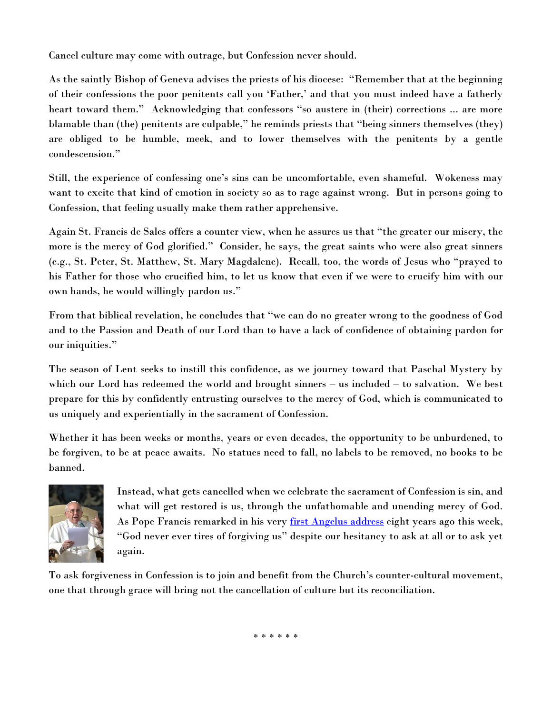Cancel culture may come with outrage, but Confession never should.

As the saintly Bishop of Geneva advises the priests of his diocese: "Remember that at the beginning of their confessions the poor penitents call you 'Father,' and that you must indeed have a fatherly heart toward them." Acknowledging that confessors "so austere in (their) corrections ... are more blamable than (the) penitents are culpable," he reminds priests that "being sinners themselves (they) are obliged to be humble, meek, and to lower themselves with the penitents by a gentle condescension."

Still, the experience of confessing one's sins can be uncomfortable, even shameful. Wokeness may want to excite that kind of emotion in society so as to rage against wrong. But in persons going to Confession, that feeling usually make them rather apprehensive.

Again St. Francis de Sales offers a counter view, when he assures us that "the greater our misery, the more is the mercy of God glorified." Consider, he says, the great saints who were also great sinners (e.g., St. Peter, St. Matthew, St. Mary Magdalene). Recall, too, the words of Jesus who "prayed to his Father for those who crucified him, to let us know that even if we were to crucify him with our own hands, he would willingly pardon us."

From that biblical revelation, he concludes that "we can do no greater wrong to the goodness of God and to the Passion and Death of our Lord than to have a lack of confidence of obtaining pardon for our iniquities."

The season of Lent seeks to instill this confidence, as we journey toward that Paschal Mystery by which our Lord has redeemed the world and brought sinners – us included – to salvation. We best prepare for this by confidently entrusting ourselves to the mercy of God, which is communicated to us uniquely and experientially in the sacrament of Confession.

Whether it has been weeks or months, years or even decades, the opportunity to be unburdened, to be forgiven, to be at peace awaits. No statues need to fall, no labels to be removed, no books to be banned.



Instead, what gets cancelled when we celebrate the sacrament of Confession is sin, and what will get restored is us, through the unfathomable and unending mercy of God. As Pope Francis remarked in his very [first Angelus address](http://www.vatican.va/content/francesco/en/angelus/2013/documents/papa-francesco_angelus_20130317.html) eight years ago this week, "God never ever tires of forgiving us" despite our hesitancy to ask at all or to ask yet again.

To ask forgiveness in Confession is to join and benefit from the Church's counter-cultural movement, one that through grace will bring not the cancellation of culture but its reconciliation.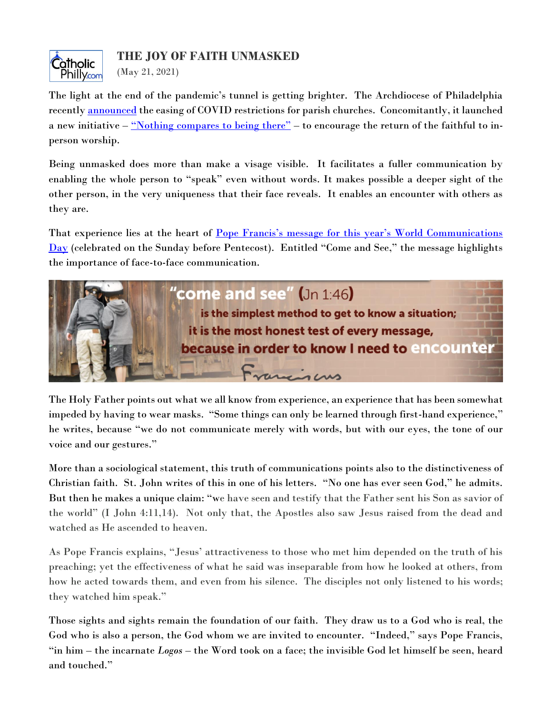

<span id="page-5-0"></span>The light at the end of the pandemic's tunnel is getting brighter. The Archdiocese of Philadelphia recently [announced](https://catholicphilly.com/2021/05/news/local-news/covid-restrictions-lifting-in-archdiocesan-parishes/) the easing of COVID restrictions for parish churches. Concomitantly, it launched a new initiative – ["Nothing compares to being there"](http://archphila.org/nothingcompares/) – to encourage the return of the faithful to inperson worship.

Being unmasked does more than make a visage visible. It facilitates a fuller communication by enabling the whole person to "speak" even without words. It makes possible a deeper sight of the other person, in the very uniqueness that their face reveals. It enables an encounter with others as they are.

That experience lies at the heart of **Pope Francis's message for this year's World Communications** [Day](https://www.comunicazione.va/en/giornata-mondiale-comunicazioni-sociali/gmcs-2021/messaggio-papa-francesco-2021.html) (celebrated on the Sunday before Pentecost). Entitled "Come and See," the message highlights the importance of face-to-face communication.



The Holy Father points out what we all know from experience, an experience that has been somewhat impeded by having to wear masks. "Some things can only be learned through first-hand experience," he writes, because "we do not communicate merely with words, but with our eyes, the tone of our voice and our gestures."

More than a sociological statement, this truth of communications points also to the distinctiveness of Christian faith. St. John writes of this in one of his letters. "No one has ever seen God," he admits. But then he makes a unique claim: "we have seen and testify that the Father sent his Son as savior of the world" (I John 4:11,14). Not only that, the Apostles also saw Jesus raised from the dead and watched as He ascended to heaven.

As Pope Francis explains, "Jesus' attractiveness to those who met him depended on the truth of his preaching; yet the effectiveness of what he said was inseparable from how he looked at others, from how he acted towards them, and even from his silence. The disciples not only listened to his words; they watched him speak."

Those sights and sights remain the foundation of our faith. They draw us to a God who is real, the God who is also a person, the God whom we are invited to encounter. "Indeed," says Pope Francis, "in him – the incarnate *Logos* – the Word took on a face; the invisible God let himself be seen, heard and touched."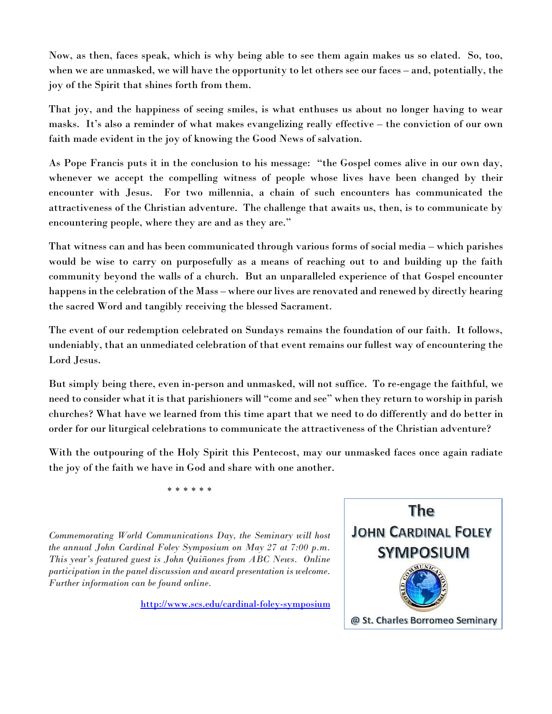Now, as then, faces speak, which is why being able to see them again makes us so elated. So, too, when we are unmasked, we will have the opportunity to let others see our faces – and, potentially, the joy of the Spirit that shines forth from them.

That joy, and the happiness of seeing smiles, is what enthuses us about no longer having to wear masks. It's also a reminder of what makes evangelizing really effective – the conviction of our own faith made evident in the joy of knowing the Good News of salvation.

As Pope Francis puts it in the conclusion to his message: "the Gospel comes alive in our own day, whenever we accept the compelling witness of people whose lives have been changed by their encounter with Jesus. For two millennia, a chain of such encounters has communicated the attractiveness of the Christian adventure. The challenge that awaits us, then, is to communicate by encountering people, where they are and as they are."

That witness can and has been communicated through various forms of social media – which parishes would be wise to carry on purposefully as a means of reaching out to and building up the faith community beyond the walls of a church. But an unparalleled experience of that Gospel encounter happens in the celebration of the Mass – where our lives are renovated and renewed by directly hearing the sacred Word and tangibly receiving the blessed Sacrament.

The event of our redemption celebrated on Sundays remains the foundation of our faith. It follows, undeniably, that an unmediated celebration of that event remains our fullest way of encountering the Lord Jesus.

But simply being there, even in-person and unmasked, will not suffice. To re-engage the faithful, we need to consider what it is that parishioners will "come and see" when they return to worship in parish churches? What have we learned from this time apart that we need to do differently and do better in order for our liturgical celebrations to communicate the attractiveness of the Christian adventure?

With the outpouring of the Holy Spirit this Pentecost, may our unmasked faces once again radiate the joy of the faith we have in God and share with one another.

\* \* \* \* \* \*

*Commemorating World Communications Day, the Seminary will host the annual John Cardinal Foley Symposium on May 27 at 7:00 p.m. This year's featured guest is John Quiñones from ABC News. Online participation in the panel discussion and award presentation is welcome. Further information can be found online.*

<http://www.scs.edu/cardinal-foley-symposium>

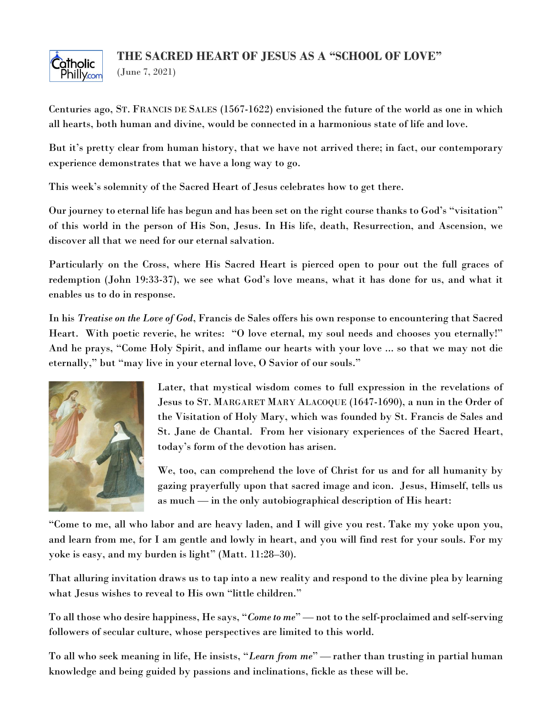### **THE SACRED HEART OF JESUS AS A "SCHOOL OF LOVE"**



<span id="page-7-0"></span>(June 7, 2021)

Centuries ago, ST. FRANCIS DE SALES (1567-1622) envisioned the future of the world as one in which all hearts, both human and divine, would be connected in a harmonious state of life and love.

But it's pretty clear from human history, that we have not arrived there; in fact, our contemporary experience demonstrates that we have a long way to go.

This week's solemnity of the Sacred Heart of Jesus celebrates how to get there.

Our journey to eternal life has begun and has been set on the right course thanks to God's "visitation" of this world in the person of His Son, Jesus. In His life, death, Resurrection, and Ascension, we discover all that we need for our eternal salvation.

Particularly on the Cross, where His Sacred Heart is pierced open to pour out the full graces of redemption (John 19:33-37), we see what God's love means, what it has done for us, and what it enables us to do in response.

In his *Treatise on the Love of God*, Francis de Sales offers his own response to encountering that Sacred Heart. With poetic reverie, he writes: "O love eternal, my soul needs and chooses you eternally!" And he prays, "Come Holy Spirit, and inflame our hearts with your love ... so that we may not die eternally," but "may live in your eternal love, O Savior of our souls."



Later, that mystical wisdom comes to full expression in the revelations of Jesus to ST. MARGARET MARY ALACOQUE (1647-1690), a nun in the Order of the Visitation of Holy Mary, which was founded by St. Francis de Sales and St. Jane de Chantal. From her visionary experiences of the Sacred Heart, today's form of the devotion has arisen.

We, too, can comprehend the love of Christ for us and for all humanity by gazing prayerfully upon that sacred image and icon. Jesus, Himself, tells us as much — in the only autobiographical description of His heart:

"Come to me, all who labor and are heavy laden, and I will give you rest. Take my yoke upon you, and learn from me, for I am gentle and lowly in heart, and you will find rest for your souls. For my yoke is easy, and my burden is light" (Matt. 11:28–30).

That alluring invitation draws us to tap into a new reality and respond to the divine plea by learning what Jesus wishes to reveal to His own "little children."

To all those who desire happiness, He says, "*Come to me*" — not to the self-proclaimed and self-serving followers of secular culture, whose perspectives are limited to this world.

To all who seek meaning in life, He insists, "*Learn from me*" — rather than trusting in partial human knowledge and being guided by passions and inclinations, fickle as these will be.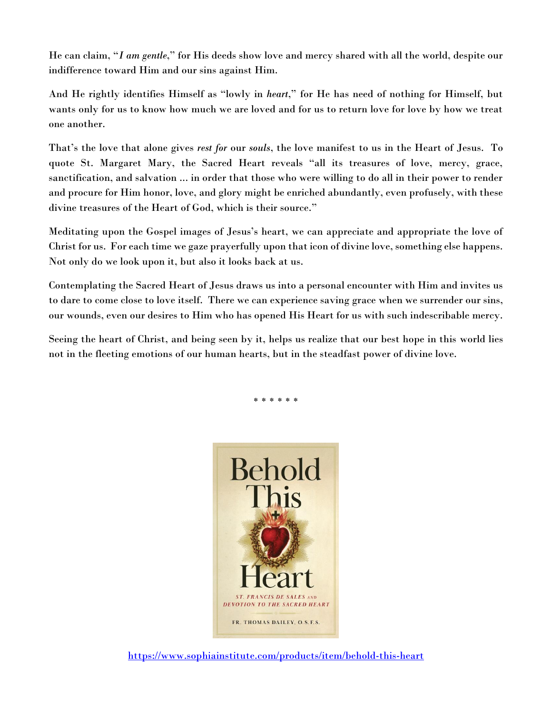He can claim, "*I am gentle*," for His deeds show love and mercy shared with all the world, despite our indifference toward Him and our sins against Him.

And He rightly identifies Himself as "lowly in *heart*," for He has need of nothing for Himself, but wants only for us to know how much we are loved and for us to return love for love by how we treat one another.

That's the love that alone gives *rest for* our *souls*, the love manifest to us in the Heart of Jesus. To quote St. Margaret Mary, the Sacred Heart reveals "all its treasures of love, mercy, grace, sanctification, and salvation ... in order that those who were willing to do all in their power to render and procure for Him honor, love, and glory might be enriched abundantly, even profusely, with these divine treasures of the Heart of God, which is their source."

Meditating upon the Gospel images of Jesus's heart, we can appreciate and appropriate the love of Christ for us. For each time we gaze prayerfully upon that icon of divine love, something else happens. Not only do we look upon it, but also it looks back at us.

Contemplating the Sacred Heart of Jesus draws us into a personal encounter with Him and invites us to dare to come close to love itself. There we can experience saving grace when we surrender our sins, our wounds, even our desires to Him who has opened His Heart for us with such indescribable mercy.

Seeing the heart of Christ, and being seen by it, helps us realize that our best hope in this world lies not in the fleeting emotions of our human hearts, but in the steadfast power of divine love.

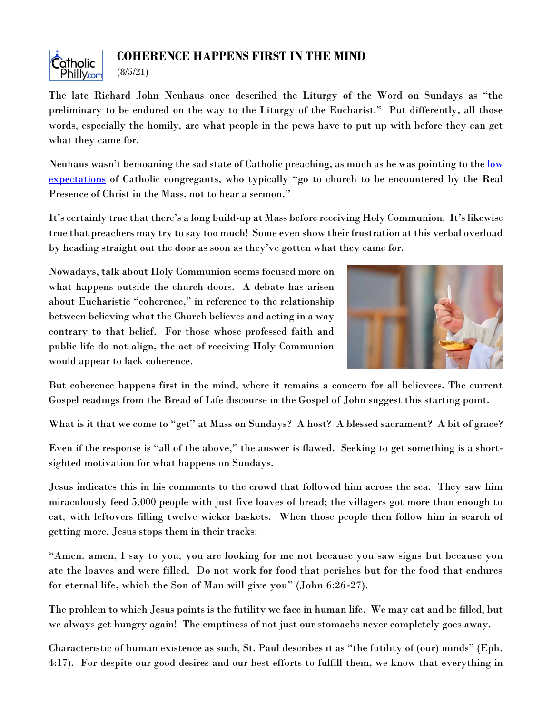

#### **COHERENCE HAPPENS FIRST IN THE MIND**

<span id="page-9-0"></span>(8/5/21)

The late Richard John Neuhaus once described the Liturgy of the Word on Sundays as "the preliminary to be endured on the way to the Liturgy of the Eucharist." Put differently, all those words, especially the homily, are what people in the pews have to put up with before they can get what they came for.

Neuhaus wasn't bemoaning the sad state of Catholic preaching, as much as he was pointing to the <u>low</u> [expectations](https://www.firstthings.com/article/2004/04/passions-surrounding-emthe-passionem) of Catholic congregants, who typically "go to church to be encountered by the Real Presence of Christ in the Mass, not to hear a sermon."

It's certainly true that there's a long build-up at Mass before receiving Holy Communion. It's likewise true that preachers may try to say too much! Some even show their frustration at this verbal overload by heading straight out the door as soon as they've gotten what they came for.

Nowadays, talk about Holy Communion seems focused more on what happens outside the church doors. A debate has arisen about Eucharistic "coherence," in reference to the relationship between believing what the Church believes and acting in a way contrary to that belief. For those whose professed faith and public life do not align, the act of receiving Holy Communion would appear to lack coherence.



But coherence happens first in the mind, where it remains a concern for all believers. The current Gospel readings from the Bread of Life discourse in the Gospel of John suggest this starting point.

What is it that we come to "get" at Mass on Sundays? A host? A blessed sacrament? A bit of grace?

Even if the response is "all of the above," the answer is flawed. Seeking to get something is a shortsighted motivation for what happens on Sundays.

Jesus indicates this in his comments to the crowd that followed him across the sea. They saw him miraculously feed 5,000 people with just five loaves of bread; the villagers got more than enough to eat, with leftovers filling twelve wicker baskets. When those people then follow him in search of getting more, Jesus stops them in their tracks:

"Amen, amen, I say to you, you are looking for me not because you saw signs but because you ate the loaves and were filled. Do not work for food that perishes but for the food that endures for eternal life, which the Son of Man will give you" (John 6:26-27).

The problem to which Jesus points is the futility we face in human life. We may eat and be filled, but we always get hungry again! The emptiness of not just our stomachs never completely goes away.

Characteristic of human existence as such, St. Paul describes it as "the futility of (our) minds" (Eph. 4:17). For despite our good desires and our best efforts to fulfill them, we know that everything in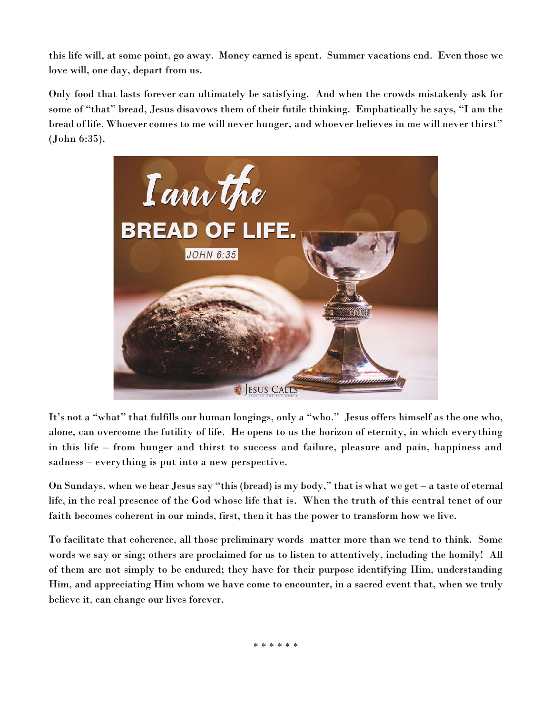this life will, at some point, go away. Money earned is spent. Summer vacations end. Even those we love will, one day, depart from us.

Only food that lasts forever can ultimately be satisfying. And when the crowds mistakenly ask for some of "that" bread, Jesus disavows them of their futile thinking. Emphatically he says, "I am the bread of life. Whoever comes to me will never hunger, and whoever believes in me will never thirst" (John 6:35).



It's not a "what" that fulfills our human longings, only a "who." Jesus offers himself as the one who, alone, can overcome the futility of life. He opens to us the horizon of eternity, in which everything in this life – from hunger and thirst to success and failure, pleasure and pain, happiness and sadness – everything is put into a new perspective.

On Sundays, when we hear Jesus say "this (bread) is my body," that is what we get – a taste of eternal life, in the real presence of the God whose life that is. When the truth of this central tenet of our faith becomes coherent in our minds, first, then it has the power to transform how we live.

To facilitate that coherence, all those preliminary words matter more than we tend to think. Some words we say or sing; others are proclaimed for us to listen to attentively, including the homily! All of them are not simply to be endured; they have for their purpose identifying Him, understanding Him, and appreciating Him whom we have come to encounter, in a sacred event that, when we truly believe it, can change our lives forever.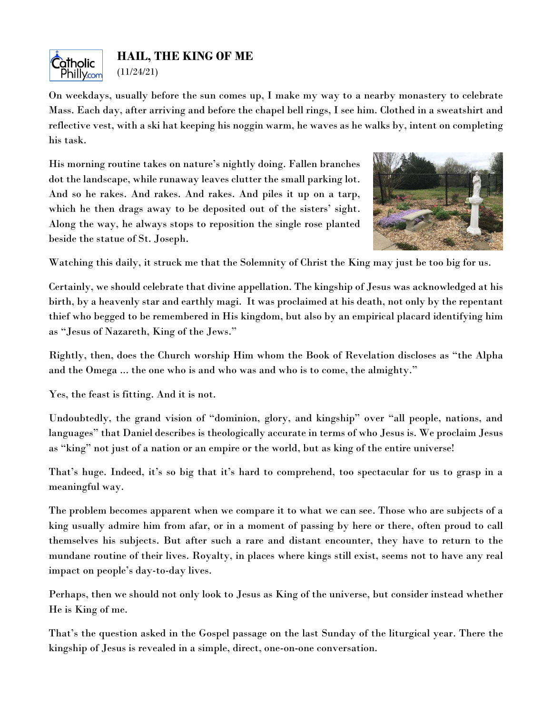

<span id="page-11-0"></span>On weekdays, usually before the sun comes up, I make my way to a nearby monastery to celebrate Mass. Each day, after arriving and before the chapel bell rings, I see him. Clothed in a sweatshirt and reflective vest, with a ski hat keeping his noggin warm, he waves as he walks by, intent on completing his task.

His morning routine takes on nature's nightly doing. Fallen branches dot the landscape, while runaway leaves clutter the small parking lot. And so he rakes. And rakes. And rakes. And piles it up on a tarp, which he then drags away to be deposited out of the sisters' sight. Along the way, he always stops to reposition the single rose planted beside the statue of St. Joseph.



Watching this daily, it struck me that the Solemnity of Christ the King may just be too big for us.

Certainly, we should celebrate that divine appellation. The kingship of Jesus was acknowledged at his birth, by a heavenly star and earthly magi. It was proclaimed at his death, not only by the repentant thief who begged to be remembered in His kingdom, but also by an empirical placard identifying him as "Jesus of Nazareth, King of the Jews."

Rightly, then, does the Church worship Him whom the Book of Revelation discloses as "the Alpha and the Omega ... the one who is and who was and who is to come, the almighty."

Yes, the feast is fitting. And it is not.

Undoubtedly, the grand vision of "dominion, glory, and kingship" over "all people, nations, and languages" that Daniel describes is theologically accurate in terms of who Jesus is. We proclaim Jesus as "king" not just of a nation or an empire or the world, but as king of the entire universe!

That's huge. Indeed, it's so big that it's hard to comprehend, too spectacular for us to grasp in a meaningful way.

The problem becomes apparent when we compare it to what we can see. Those who are subjects of a king usually admire him from afar, or in a moment of passing by here or there, often proud to call themselves his subjects. But after such a rare and distant encounter, they have to return to the mundane routine of their lives. Royalty, in places where kings still exist, seems not to have any real impact on people's day-to-day lives.

Perhaps, then we should not only look to Jesus as King of the universe, but consider instead whether He is King of me.

That's the question asked in the Gospel passage on the last Sunday of the liturgical year. There the kingship of Jesus is revealed in a simple, direct, one-on-one conversation.